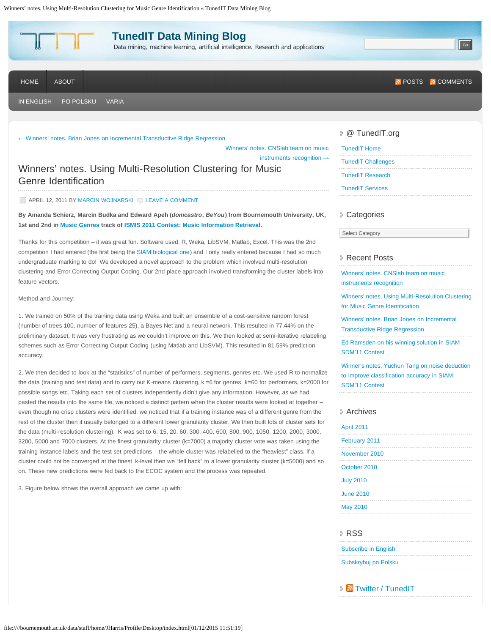

#### [←](http://blog.tunedit.org/2011/04/06/brian-jones-ridge-regression/) [Winners' notes. Brian Jones on Incremental Transductive Ridge](http://blog.tunedit.org/2011/04/06/brian-jones-ridge-regression/) Regression

[Winners' notes. CNSlab team on music](http://blog.tunedit.org/2011/04/22/winners-notes-cnslab-instruments-recognition/) [instruments](http://blog.tunedit.org/2011/04/22/winners-notes-cnslab-instruments-recognition/) recognition [→](http://blog.tunedit.org/2011/04/22/winners-notes-cnslab-instruments-recognition/)

Winners' notes. Using Multi-Resolution Clustering for Music Genre Identification

#### APRIL 12, 2011 BY [MARCIN WOJNARSKI](http://blog.tunedit.org/author/mwojnars/) C [LEAVE A COMMENT](http://blog.tunedit.org/2011/04/12/domcastro-multiresolution-clustering/#respond)

**By Amanda Schierz, Marcin Budka and Edward Apeh (***domcastro***,** *BeYou***) from Bournemouth University, UK, 1st and 2nd in [Music Genres](http://tunedit.org/challenge/music-retrieval/genres) track of [ISMIS 2011 Contest: Music Information Retrieval.](http://tunedit.org/challenge/music-retrieval)**

Thanks for this competition – it was great fun. Software used: R, Weka, LibSVM, Matlab, Excel. This was the 2nd competition I had entered (the first being the [SIAM biological one\)](http://tunedit.org/challenge/QSAR) and I only really entered because I had so much undergraduate marking to do! We developed a novel approach to the problem which involved multi-resolution clustering and Error Correcting Output Coding. Our 2nd place approach involved transforming the cluster labels into feature vectors.

#### Method and Journey:

1. We trained on 50% of the training data using Weka and built an ensemble of a cost-sensitive random forest (number of trees 100, number of features 25), a Bayes Net and a neural network. This resulted in 77.44% on the preliminary dataset. It was very frustrating as we couldn't improve on this. We then looked at semi-iterative relabeling schemes such as Error Correcting Output Coding (using Matlab and LibSVM). This resulted in 81.59% prediction accuracy.

2. We then decided to look at the "statistics" of number of performers, segments, genres etc. We used R to normalize the data (training and test data) and to carry out K-means clustering, k =6 for genres, k=60 for performers, k=2000 for possible songs etc. Taking each set of clusters independently didn't give any information. However, as we had pasted the results into the same file, we noticed a distinct pattern when the cluster results were looked at together – even though no crisp clusters were identified, we noticed that if a training instance was of a different genre from the rest of the cluster then it usually belonged to a different lower granularity cluster. We then built lots of cluster sets for the data (multi-resolution clustering). K was set to 6, 15, 20, 60, 300, 400, 600, 800, 900, 1050, 1200, 2000, 3000, 3200, 5000 and 7000 clusters. At the finest granularity cluster (k=7000) a majority cluster vote was taken using the training instance labels and the test set predictions – the whole cluster was relabelled to the "heaviest" class. If a cluster could not be converged at the finest k-level then we "fell back" to a lower granularity cluster (k=5000) and so on. These new predictions were fed back to the ECOC system and the process was repeated.

3. Figure below shows the overall approach we came up with:

## @ TunedIT.org

| <b>TunedIT Home</b>       |  |  |
|---------------------------|--|--|
| <b>TunedIT Challenges</b> |  |  |
| <b>TunedIT Research</b>   |  |  |
| <b>TunedIT Services</b>   |  |  |

#### Categories

Select Category

### Recent Posts

| Winners' notes. CNSlab team on music<br>instruments recognition                                                       |
|-----------------------------------------------------------------------------------------------------------------------|
| Winners' notes. Using Multi-Resolution Clustering<br>for Music Genre Identification                                   |
| Winners' notes. Brian Jones on Incremental<br><b>Transductive Ridge Regression</b>                                    |
| Ed Ramsden on his winning solution in SIAM<br><b>SDM'11 Contest</b>                                                   |
| Winner's notes. Yuchun Tang on noise deduction<br>to improve classification accuracy in SIAM<br><b>SDM'11 Contest</b> |
|                                                                                                                       |

#### Archives

| April 2011       |  |  |  |  |
|------------------|--|--|--|--|
| February 2011    |  |  |  |  |
| November 2010    |  |  |  |  |
| October 2010     |  |  |  |  |
| <b>July 2010</b> |  |  |  |  |
| <b>June 2010</b> |  |  |  |  |
| <b>May 2010</b>  |  |  |  |  |
|                  |  |  |  |  |

#### RSS

[Subscribe in English](http://blog.tunedit.org/category/in-english/feed/) [Subskrybuj po Polsku](http://blog.tunedit.org/category/po-polsku/feed/)

[Twitter / TunedIT](http://twitter.com/TunedIT)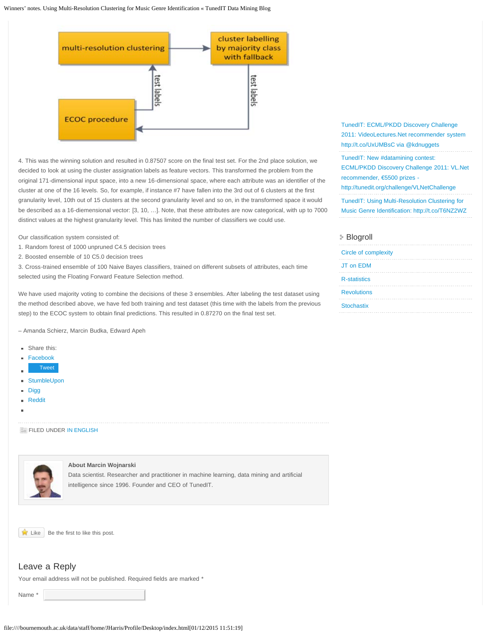

4. This was the winning solution and resulted in 0.87507 score on the final test set. For the 2nd place solution, we decided to look at using the cluster assignation labels as feature vectors. This transformed the problem from the original 171-dimensional input space, into a new 16-dimensional space, where each attribute was an identifier of the cluster at one of the 16 levels. So, for example, if instance #7 have fallen into the 3rd out of 6 clusters at the first granularity level, 10th out of 15 clusters at the second granularity level and so on, in the transformed space it would be described as a 16-diemensional vector: [3, 10, …]. Note, that these attributes are now categorical, with up to 7000 distinct values at the highest granularity level. This has limited the number of classifiers we could use.

Our classification system consisted of:

- 1. Random forest of 1000 unpruned C4.5 decision trees
- 2. Boosted ensemble of 10 C5.0 decision trees

3. Cross-trained ensemble of 100 Naive Bayes classifiers, trained on different subsets of attributes, each time selected using the Floating Forward Feature Selection method.

We have used majority voting to combine the decisions of these 3 ensembles. After labeling the test dataset using the method described above, we have fed both training and test dataset (this time with the labels from the previous step) to the ECOC system to obtain final predictions. This resulted in 0.87270 on the final test set.

– Amanda Schierz, Marcin Budka, Edward Apeh

- Share this:
- [Facebook](http://blog.tunedit.org/2011/04/12/domcastro-multiresolution-clustering/?share=facebook) m.
- [Tweet](https://twitter.com/share)
- [StumbleUpon](http://blog.tunedit.org/2011/04/12/domcastro-multiresolution-clustering/?share=stumbleupon)
- [Digg](http://blog.tunedit.org/2011/04/12/domcastro-multiresolution-clustering/?share=digg) a.
- [Reddit](http://blog.tunedit.org/2011/04/12/domcastro-multiresolution-clustering/?share=reddit) m.
- 

#### FILED UNDER [IN ENGLISH](http://en.wordpress.com/tag/in-english/)



#### **About Marcin Wojnarski**

Data scientist. Researcher and practitioner in machine learning, data mining and artificial intelligence since 1996. Founder and CEO of TunedIT.



## Leave a Reply

Your email address will not be published. Required fields are marked \*

Name<sub></sub>

[TunedIT: ECML/PKDD Discovery Challenge](http://twitter.com/TunedIT/statuses/60636664493645824) [2011: VideoLectures.Net recommender system](http://twitter.com/TunedIT/statuses/60636664493645824) [http://t.co/UxUMBsC via @kdnuggets](http://twitter.com/TunedIT/statuses/60636664493645824)

[TunedIT: New #datamining contest:](http://twitter.com/TunedIT/statuses/59983775957921793) [ECML/PKDD Discovery Challenge 2011: VL.Net](http://twitter.com/TunedIT/statuses/59983775957921793) [recommender, €5500 prizes -](http://twitter.com/TunedIT/statuses/59983775957921793)

[http://tunedit.org/challenge/VLNetChallenge](http://twitter.com/TunedIT/statuses/59983775957921793)

[TunedIT: Using Multi-Resolution Clustering for](http://twitter.com/TunedIT/statuses/58096475690893312)

[Music Genre Identification: http://t.co/T6NZ2WZ](http://twitter.com/TunedIT/statuses/58096475690893312)

### Blogroll

| <b>Circle of complexity</b> |  |  |  |
|-----------------------------|--|--|--|
| JT on EDM                   |  |  |  |
| <b>R-statistics</b>         |  |  |  |
| <b>Revolutions</b>          |  |  |  |
| <b>Stochastix</b>           |  |  |  |
|                             |  |  |  |